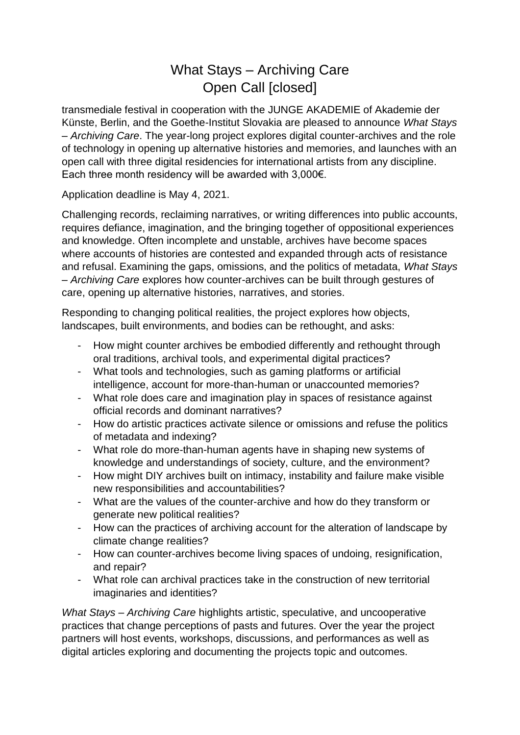# What Stays – Archiving Care Open Call [closed]

transmediale festival in cooperation with the JUNGE AKADEMIE of Akademie der Künste, Berlin, and the Goethe-Institut Slovakia are pleased to announce *What Stays – Archiving Care*. The year-long project explores digital counter-archives and the role of technology in opening up alternative histories and memories, and launches with an open call with three digital residencies for international artists from any discipline. Each three month residency will be awarded with 3,000€.

Application deadline is May 4, 2021.

Challenging records, reclaiming narratives, or writing differences into public accounts, requires defiance, imagination, and the bringing together of oppositional experiences and knowledge. Often incomplete and unstable, archives have become spaces where accounts of histories are contested and expanded through acts of resistance and refusal. Examining the gaps, omissions, and the politics of metadata, *What Stays – Archiving Care* explores how counter-archives can be built through gestures of care, opening up alternative histories, narratives, and stories.

Responding to changing political realities, the project explores how objects, landscapes, built environments, and bodies can be rethought, and asks:

- How might counter archives be embodied differently and rethought through oral traditions, archival tools, and experimental digital practices?
- What tools and technologies, such as gaming platforms or artificial intelligence, account for more-than-human or unaccounted memories?
- What role does care and imagination play in spaces of resistance against official records and dominant narratives?
- How do artistic practices activate silence or omissions and refuse the politics of metadata and indexing?
- What role do more-than-human agents have in shaping new systems of knowledge and understandings of society, culture, and the environment?
- How might DIY archives built on intimacy, instability and failure make visible new responsibilities and accountabilities?
- What are the values of the counter-archive and how do they transform or generate new political realities?
- How can the practices of archiving account for the alteration of landscape by climate change realities?
- How can counter-archives become living spaces of undoing, resignification, and repair?
- What role can archival practices take in the construction of new territorial imaginaries and identities?

*What Stays – Archiving Care* highlights artistic, speculative, and uncooperative practices that change perceptions of pasts and futures. Over the year the project partners will host events, workshops, discussions, and performances as well as digital articles exploring and documenting the projects topic and outcomes.